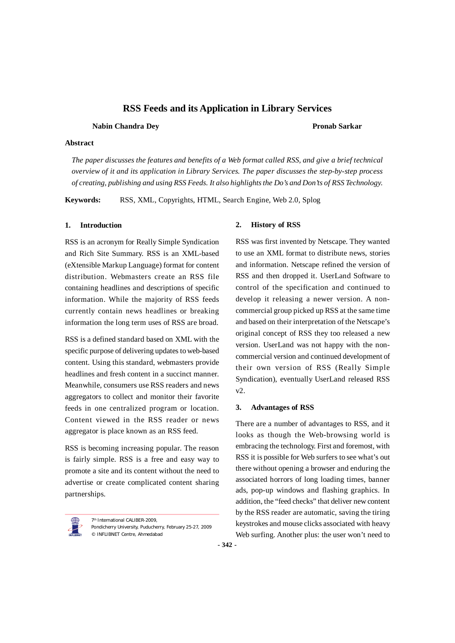**Nabin Chandra Dey Pronab Sarkar**

### **Abstract**

*The paper discusses the features and benefits of a Web format called RSS, and give a brief technical overview of it and its application in Library Services. The paper discusses the step-by-step process of creating, publishing and using RSS Feeds. It also highlights the Do's and Don'ts of RSS Technology.*

**Keywords:** RSS, XML, Copyrights, HTML, Search Engine, Web 2.0, Splog

#### **1. Introduction**

RSS is an acronym for Really Simple Syndication and Rich Site Summary. RSS is an XML-based (eXtensible Markup Language) format for content distribution. Webmasters create an RSS file containing headlines and descriptions of specific information. While the majority of RSS feeds currently contain news headlines or breaking information the long term uses of RSS are broad.

RSS is a defined standard based on XML with the specific purpose of delivering updates to web-based content. Using this standard, webmasters provide headlines and fresh content in a succinct manner. Meanwhile, consumers use RSS readers and news aggregators to collect and monitor their favorite feeds in one centralized program or location. Content viewed in the RSS reader or news aggregator is place known as an RSS feed.

RSS is becoming increasing popular. The reason is fairly simple. RSS is a free and easy way to promote a site and its content without the need to advertise or create complicated content sharing partnerships.



7<sup>th</sup> International CALIBER-2009, Pondicherry University, Puducherry, February 25-27, 2009 © INFLIBNET Centre, Ahmedabad

#### **2. History of RSS**

RSS was first invented by Netscape. They wanted to use an XML format to distribute news, stories and information. Netscape refined the version of RSS and then dropped it. UserLand Software to control of the specification and continued to develop it releasing a newer version. A noncommercial group picked up RSS at the same time and based on their interpretation of the Netscape's original concept of RSS they too released a new version. UserLand was not happy with the noncommercial version and continued development of their own version of RSS (Really Simple Syndication), eventually UserLand released RSS v2.

## **3. Advantages of RSS**

There are a number of advantages to RSS, and it looks as though the Web-browsing world is embracing the technology. First and foremost, with RSS it is possible for Web surfers to see what's out there without opening a browser and enduring the associated horrors of long loading times, banner ads, pop-up windows and flashing graphics. In addition, the "feed checks" that deliver new content by the RSS reader are automatic, saving the tiring keystrokes and mouse clicks associated with heavy Web surfing. Another plus: the user won't need to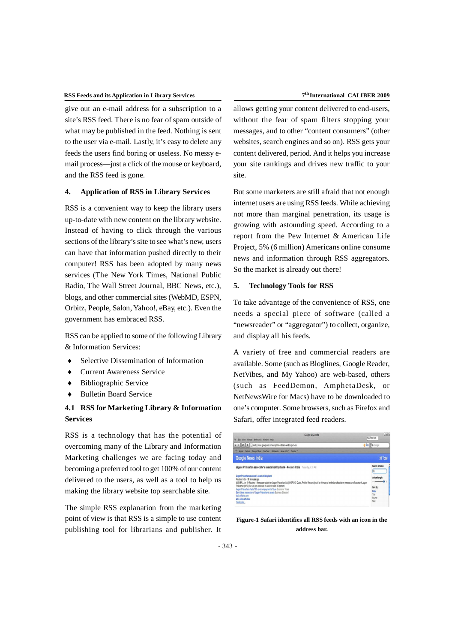give out an e-mail address for a subscription to a site's RSS feed. There is no fear of spam outside of what may be published in the feed. Nothing is sent to the user via e-mail. Lastly, it's easy to delete any feeds the users find boring or useless. No messy email process—just a click of the mouse or keyboard, and the RSS feed is gone.

#### **4. Application of RSS in Library Services**

RSS is a convenient way to keep the library users up-to-date with new content on the library website. Instead of having to click through the various sections of the library's site to see what's new, users can have that information pushed directly to their computer! RSS has been adopted by many news services (The New York Times, National Public Radio, The Wall Street Journal, BBC News, etc.), blogs, and other commercial sites (WebMD, ESPN, Orbitz, People, Salon, Yahoo!, eBay, etc.). Even the government has embraced RSS.

RSS can be applied to some of the following Library & Information Services:

- Selective Dissemination of Information
- Current Awareness Service
- Bibliographic Service
- Bulletin Board Service

# **4.1 RSS for Marketing Library & Information Services**

RSS is a technology that has the potential of overcoming many of the Library and Information Marketing challenges we are facing today and becoming a preferred tool to get 100% of our content delivered to the users, as well as a tool to help us making the library website top searchable site.

The simple RSS explanation from the marketing point of view is that RSS is a simple to use content publishing tool for librarians and publisher. It allows getting your content delivered to end-users, without the fear of spam filters stopping your messages, and to other "content consumers" (other websites, search engines and so on). RSS gets your content delivered, period. And it helps you increase your site rankings and drives new traffic to your site.

But some marketers are still afraid that not enough internet users are using RSS feeds. While achieving not more than marginal penetration, its usage is growing with astounding speed. According to a report from the Pew Internet & American Life Project, 5% (6 million) Americans online consume news and information through RSS aggregators. So the market is already out there!

## **5. Technology Tools for RSS**

To take advantage of the convenience of RSS, one needs a special piece of software (called a "newsreader" or "aggregator") to collect, organize, and display all his feeds.

A variety of free and commercial readers are available. Some (such as Bloglines, Google Reader, NetVibes, and My Yahoo) are web-based, others (such as FeedDemon, AmphetaDesk, or NetNewsWire for Macs) have to be downloaded to one's computer. Some browsers, such as Firefox and Safari, offer integrated feed readers.



## **Figure-1 Safari identifies all RSS feeds with an icon in the address bar.**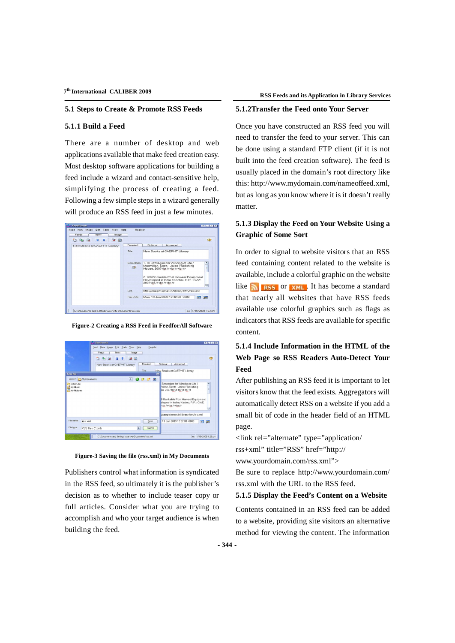#### **5.1 Steps to Create & Promote RSS Feeds**

#### **5.1.1 Build a Feed**

There are a number of desktop and web applications available that make feed creation easy. Most desktop software applications for building a feed include a wizard and contact-sensitive help, simplifying the process of creating a feed. Following a few simple steps in a wizard generally will produce an RSS feed in just a few minutes.



**Figure-2 Creating a RSS Feed in FeedforAll Software**





Publishers control what information is syndicated in the RSS feed, so ultimately it is the publisher's decision as to whether to include teaser copy or full articles. Consider what you are trying to accomplish and who your target audience is when building the feed.

### **5.1.2Transfer the Feed onto Your Server**

Once you have constructed an RSS feed you will need to transfer the feed to your server. This can be done using a standard FTP client (if it is not built into the feed creation software). The feed is usually placed in the domain's root directory like this: http://www.mydomain.com/nameoffeed.xml, but as long as you know where it is it doesn't really matter.

# **5.1.3 Display the Feed on Your Website Using a Graphic of Some Sort**

In order to signal to website visitors that an RSS feed containing content related to the website is available, include a colorful graphic on the website like  $\sum$  **RSS** or  $x$ ML. It has become a standard that nearly all websites that have RSS feeds available use colorful graphics such as flags as indicators that RSS feeds are available for specific content.

# **5.1.4 Include Information in the HTML of the Web Page so RSS Readers Auto-Detect Your Feed**

After publishing an RSS feed it is important to let visitors know that the feed exists. Aggregators will automatically detect RSS on a website if you add a small bit of code in the header field of an HTML page.

<link rel="alternate" type="application/

rss+xml" title="RSS" href="http://

www.yourdomain.com/rss.xml">

Be sure to replace http://www.yourdomain.com/ rss.xml with the URL to the RSS feed.

#### **5.1.5 Display the Feed's Content on a Website**

Contents contained in an RSS feed can be added to a website, providing site visitors an alternative method for viewing the content. The information

**- 344 -**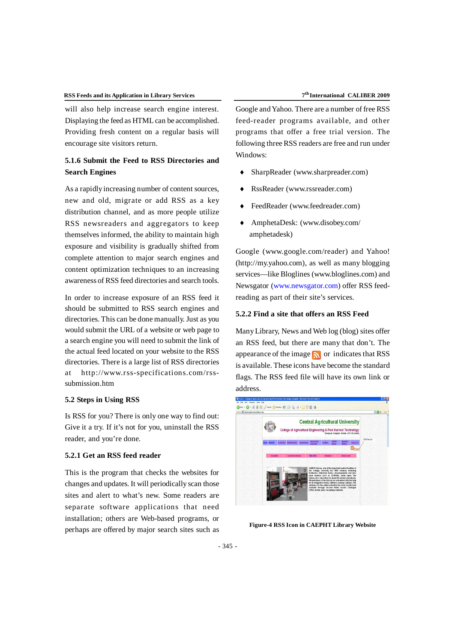will also help increase search engine interest. Displaying the feed as HTML can be accomplished. Providing fresh content on a regular basis will encourage site visitors return.

# **5.1.6 Submit the Feed to RSS Directories and Search Engines**

As a rapidly increasing number of content sources, new and old, migrate or add RSS as a key distribution channel, and as more people utilize RSS newsreaders and aggregators to keep themselves informed, the ability to maintain high exposure and visibility is gradually shifted from complete attention to major search engines and content optimization techniques to an increasing awareness of RSS feed directories and search tools.

In order to increase exposure of an RSS feed it should be submitted to RSS search engines and directories. This can be done manually. Just as you would submit the URL of a website or web page to a search engine you will need to submit the link of the actual feed located on your website to the RSS directories. There is a large list of RSS directories at http://www.rss-specifications.com/rsssubmission.htm

## **5.2 Steps in Using RSS**

Is RSS for you? There is only one way to find out: Give it a try. If it's not for you, uninstall the RSS reader, and you're done.

## **5.2.1 Get an RSS feed reader**

This is the program that checks the websites for changes and updates. It will periodically scan those sites and alert to what's new. Some readers are separate software applications that need installation; others are Web-based programs, or perhaps are offered by major search sites such as

Google and Yahoo. There are a number of free RSS feed-reader programs available, and other programs that offer a free trial version. The following three RSS readers are free and run under Windows:

- SharpReader (www.sharpreader.com)
- RssReader (www.rssreader.com)
- FeedReader (www.feedreader.com)
- AmphetaDesk: (www.disobey.com/ amphetadesk)

Google (www.google.com/reader) and Yahoo! (http://my.yahoo.com), as well as many blogging services—like Bloglines (www.bloglines.com) and Newsgator (www.newsgator.com) offer RSS feedreading as part of their site's services.

# **5.2.2 Find a site that offers an RSS Feed**

Many Library, News and Web log (blog) sites offer an RSS feed, but there are many that don't. The appearance of the image  $\bigotimes$  or indicates that RSS is available. These icons have become the standard flags. The RSS feed file will have its own link or address.



**Figure-4 RSS Icon in CAEPHT Library Website**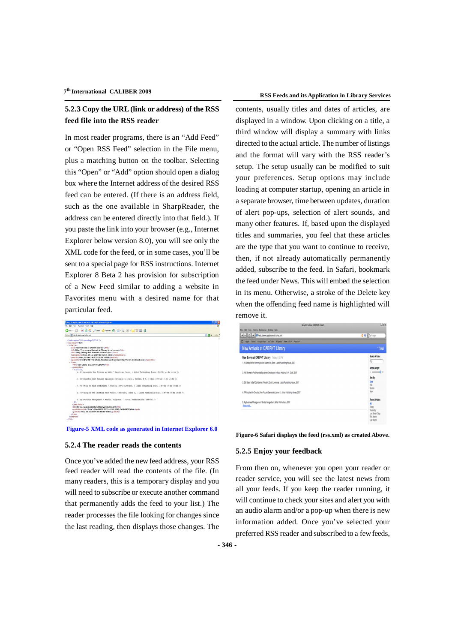# **5.2.3 Copy the URL (link or address) of the RSS feed file into the RSS reader**

In most reader programs, there is an "Add Feed" or "Open RSS Feed" selection in the File menu, plus a matching button on the toolbar. Selecting this "Open" or "Add" option should open a dialog box where the Internet address of the desired RSS feed can be entered. (If there is an address field, such as the one available in SharpReader, the address can be entered directly into that field.). If you paste the link into your browser (e.g., Internet Explorer below version 8.0), you will see only the XML code for the feed, or in some cases, you'll be sent to a special page for RSS instructions. Internet Explorer 8 Beta 2 has provision for subscription of a New Feed similar to adding a website in Favorites menu with a desired name for that particular feed.



**Figure-5 XML code as generated in Internet Explorer 6.0**

## **5.2.4 The reader reads the contents**

Once you've added the new feed address, your RSS feed reader will read the contents of the file. (In many readers, this is a temporary display and you will need to subscribe or execute another command that permanently adds the feed to your list.) The reader processes the file looking for changes since the last reading, then displays those changes. The

contents, usually titles and dates of articles, are displayed in a window. Upon clicking on a title, a third window will display a summary with links directed to the actual article. The number of listings and the format will vary with the RSS reader's setup. The setup usually can be modified to suit your preferences. Setup options may include loading at computer startup, opening an article in a separate browser, time between updates, duration of alert pop-ups, selection of alert sounds, and many other features. If, based upon the displayed titles and summaries, you feel that these articles are the type that you want to continue to receive, then, if not already automatically permanently added, subscribe to the feed. In Safari, bookmark the feed under News. This will embed the selection in its menu. Otherwise, a stroke of the Delete key when the offending feed name is highlighted will remove it.

| New Arrivals at CAEPHT Library                                                             | ua                            |
|--------------------------------------------------------------------------------------------|-------------------------------|
| File Edit View History Bookmarks Window Help                                               |                               |
| 4 > C + Offed //www.carphternet.in/vs.xml                                                  | <b>Q-RSS Q-</b> Coople        |
| m<br>Apple Yahoo! Coogle Maps YouTube Wikipedia News (49) * Popular *                      |                               |
| New Arrivals at CAEPHT Library                                                             | 1 Total                       |
| New Books at CAEPHT Library Teday, 8:32 PM                                                 | Search Articles:              |
| 1. 10 Strategies for Winning at Life / Macmillan, Scott. : Jaico Publishing House, 2007    | ά                             |
|                                                                                            | Article Length:               |
| 2. 100 Bankable Post Harvest Equipment Developed in India / Kachnu, R.P.: CIAE, 2007       | $\longrightarrow$             |
|                                                                                            | Sort By:                      |
| 3. 365 Steps to Self-Confidence / Prestin, David Lawrence. : Jaico Publishing House, 2007  | Date<br>Tite                  |
|                                                                                            | Source                        |
| 4.7 Principles For Creating Your Future / Semradek, James J.: Jalca Publishing House, 2007 | New                           |
| 5. Agribusiness Management / Bhatia, Gangachar .: Mittal Publications, 2007<br>Boad more   | Recent Articles:              |
|                                                                                            | M<br>Today                    |
|                                                                                            | Yesterday                     |
|                                                                                            | Last Seven Days<br>This Month |
|                                                                                            | A COUNTY OF                   |

**Figure-6 Safari displays the feed (rss.xml) as created Above.**

#### **5.2.5 Enjoy your feedback**

From then on, whenever you open your reader or reader service, you will see the latest news from all your feeds. If you keep the reader running, it will continue to check your sites and alert you with an audio alarm and/or a pop-up when there is new information added. Once you've selected your preferred RSS reader and subscribed to a few feeds,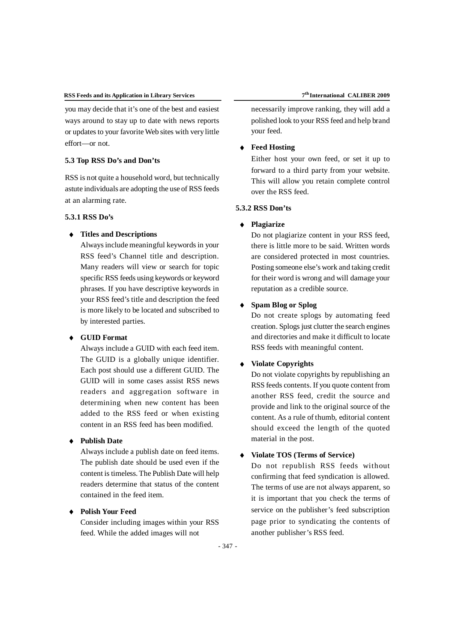you may decide that it's one of the best and easiest ways around to stay up to date with news reports or updates to your favorite Web sites with very little effort—or not.

# **5.3 Top RSS Do's and Don'ts**

RSS is not quite a household word, but technically astute individuals are adopting the use of RSS feeds at an alarming rate.

### **5.3.1 RSS Do's**

## **Titles and Descriptions**

Always include meaningful keywords in your RSS feed's Channel title and description. Many readers will view or search for topic specific RSS feeds using keywords or keyword phrases. If you have descriptive keywords in your RSS feed's title and description the feed is more likely to be located and subscribed to by interested parties.

# **GUID Format**

Always include a GUID with each feed item. The GUID is a globally unique identifier. Each post should use a different GUID. The GUID will in some cases assist RSS news readers and aggregation software in determining when new content has been added to the RSS feed or when existing content in an RSS feed has been modified.

# **Publish Date**

Always include a publish date on feed items. The publish date should be used even if the content is timeless. The Publish Date will help readers determine that status of the content contained in the feed item.

## **Polish Your Feed**

Consider including images within your RSS feed. While the added images will not

necessarily improve ranking, they will add a polished look to your RSS feed and help brand your feed.

## **Feed Hosting**

Either host your own feed, or set it up to forward to a third party from your website. This will allow you retain complete control over the RSS feed.

# **5.3.2 RSS Don'ts**

#### **Plagiarize**

Do not plagiarize content in your RSS feed, there is little more to be said. Written words are considered protected in most countries. Posting someone else's work and taking credit for their word is wrong and will damage your reputation as a credible source.

# **Spam Blog or Splog**

Do not create splogs by automating feed creation. Splogs just clutter the search engines and directories and make it difficult to locate RSS feeds with meaningful content.

#### **Violate Copyrights**

Do not violate copyrights by republishing an RSS feeds contents. If you quote content from another RSS feed, credit the source and provide and link to the original source of the content. As a rule of thumb, editorial content should exceed the length of the quoted material in the post.

# **Violate TOS (Terms of Service)**

Do not republish RSS feeds without confirming that feed syndication is allowed. The terms of use are not always apparent, so it is important that you check the terms of service on the publisher's feed subscription page prior to syndicating the contents of another publisher's RSS feed.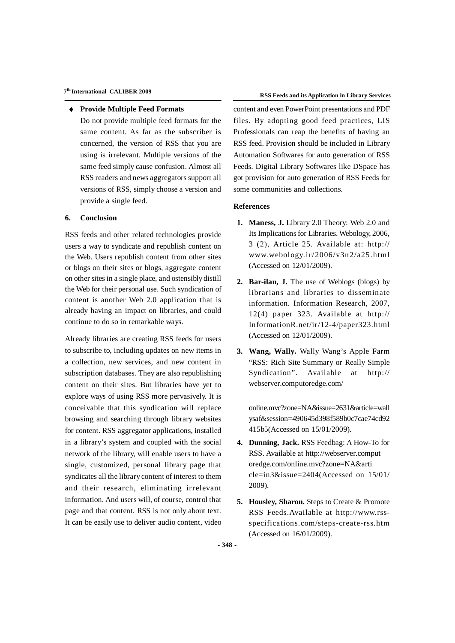#### **Provide Multiple Feed Formats**

Do not provide multiple feed formats for the same content. As far as the subscriber is concerned, the version of RSS that you are using is irrelevant. Multiple versions of the same feed simply cause confusion. Almost all RSS readers and news aggregators support all versions of RSS, simply choose a version and provide a single feed.

#### **6. Conclusion**

RSS feeds and other related technologies provide users a way to syndicate and republish content on the Web. Users republish content from other sites or blogs on their sites or blogs, aggregate content on other sites in a single place, and ostensibly distill the Web for their personal use. Such syndication of content is another Web 2.0 application that is already having an impact on libraries, and could continue to do so in remarkable ways.

Already libraries are creating RSS feeds for users to subscribe to, including updates on new items in a collection, new services, and new content in subscription databases. They are also republishing content on their sites. But libraries have yet to explore ways of using RSS more pervasively. It is conceivable that this syndication will replace browsing and searching through library websites for content. RSS aggregator applications, installed in a library's system and coupled with the social network of the library, will enable users to have a single, customized, personal library page that syndicates all the library content of interest to them and their research, eliminating irrelevant information. And users will, of course, control that page and that content. RSS is not only about text. It can be easily use to deliver audio content, video content and even PowerPoint presentations and PDF files. By adopting good feed practices, LIS Professionals can reap the benefits of having an RSS feed. Provision should be included in Library Automation Softwares for auto generation of RSS Feeds. Digital Library Softwares like DSpace has got provision for auto generation of RSS Feeds for some communities and collections.

## **References**

- **1. Maness, J.** Library 2.0 Theory: Web 2.0 and Its Implications for Libraries. Webology, 2006, 3 (2), Article 25. Available at: http:// www.webology.ir/2006/v3n2/a25.html (Accessed on 12/01/2009).
- **2. Bar-ilan, J.** The use of Weblogs (blogs) by librarians and libraries to disseminate information. Information Research, 2007, 12(4) paper 323. Available at http:// InformationR.net/ir/12-4/paper323.html (Accessed on 12/01/2009).
- **3. Wang, Wally.** Wally Wang's Apple Farm "RSS: Rich Site Summary or Really Simple Syndication". Available at http:// webserver.computoredge.com/

online.mvc?zone=NA&issue=2631&article=wall ysaf&session=490645d398f589b0c7cae74cd92 415b5(Accessed on 15/01/2009).

- **4. Dunning, Jack.** RSS Feedbag: A How-To for RSS. Available at http://webserver.comput oredge.com/online.mvc?zone=NA&arti cle=in3&issue=2404(Accessed on 15/01/ 2009).
- **5. Housley, Sharon.** Steps to Create & Promote RSS Feeds.Available at http://www.rssspecifications.com/steps-create-rss.htm (Accessed on 16/01/2009).

**- 348 -**